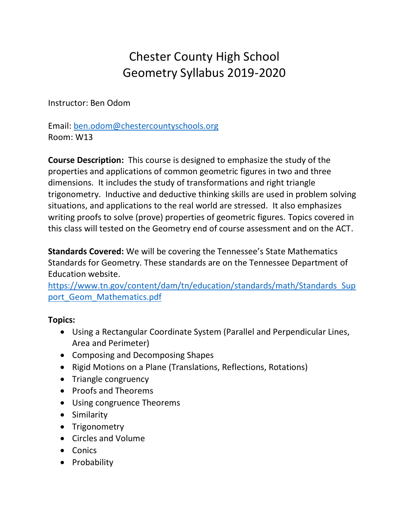# Chester County High School Geometry Syllabus 2019-2020

Instructor: Ben Odom

Email: [ben.odom@chestercountyschools.org](mailto:ben.odom@chestercountyschools.org) Room: W13

**Course Description:** This course is designed to emphasize the study of the properties and applications of common geometric figures in two and three dimensions. It includes the study of transformations and right triangle trigonometry. Inductive and deductive thinking skills are used in problem solving situations, and applications to the real world are stressed. It also emphasizes writing proofs to solve (prove) properties of geometric figures. Topics covered in this class will tested on the Geometry end of course assessment and on the ACT.

**Standards Covered:** We will be covering the Tennessee's State Mathematics Standards for Geometry. These standards are on the Tennessee Department of Education website.

[https://www.tn.gov/content/dam/tn/education/standards/math/Standards\\_Sup](https://www.tn.gov/content/dam/tn/education/standards/math/Standards_Support_Geom_Mathematics.pdf) port Geom Mathematics.pdf

## **Topics:**

- Using a Rectangular Coordinate System (Parallel and Perpendicular Lines, Area and Perimeter)
- Composing and Decomposing Shapes
- Rigid Motions on a Plane (Translations, Reflections, Rotations)
- Triangle congruency
- Proofs and Theorems
- Using congruence Theorems
- Similarity
- Trigonometry
- Circles and Volume
- Conics
- Probability